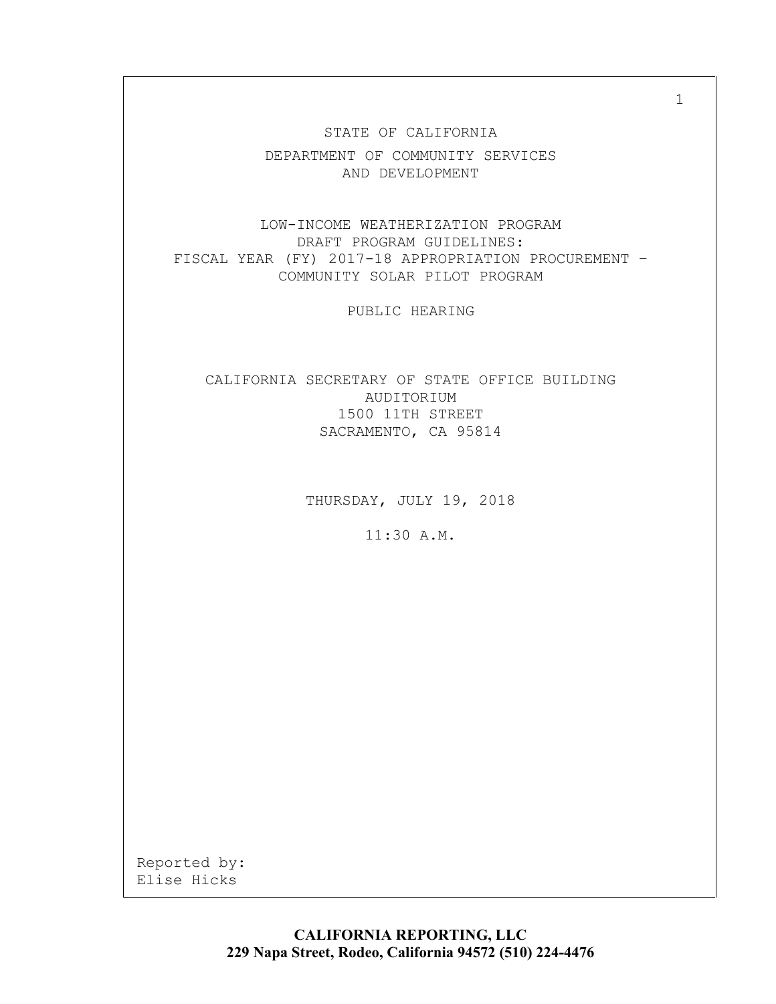STATE OF CALIFORNIA DEPARTMENT OF COMMUNITY SERVICES AND DEVELOPMENT

LOW-INCOME WEATHERIZATION PROGRAM DRAFT PROGRAM GUIDELINES: FISCAL YEAR (FY) 2017-18 APPROPRIATION PROCUREMENT – COMMUNITY SOLAR PILOT PROGRAM

PUBLIC HEARING

CALIFORNIA SECRETARY OF STATE OFFICE BUILDING AUDITORIUM 1500 11TH STREET SACRAMENTO, CA 95814

THURSDAY, JULY 19, 2018

11:30 A.M.

Reported by: Elise Hicks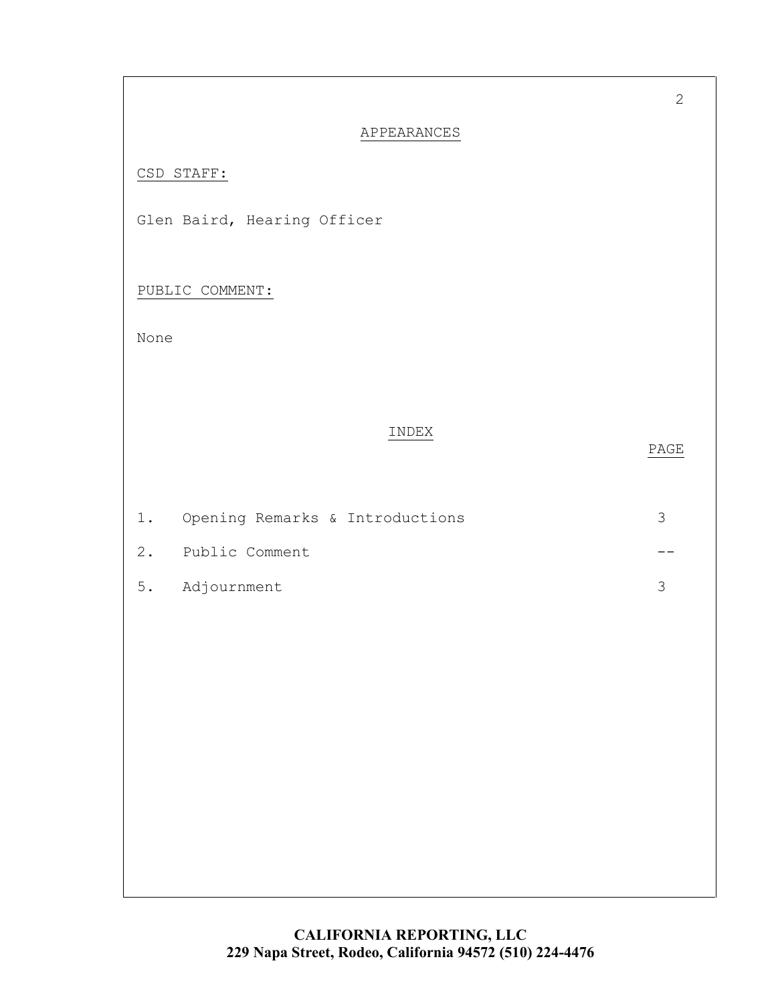| APPEARANCES |  |
|-------------|--|
|             |  |

## CSD STAFF:

Glen Baird, Hearing Officer

PUBLIC COMMENT:

None

## INDEX

## PAGE

| 1. Opening Remarks & Introductions |  |
|------------------------------------|--|
| 2. Public Comment                  |  |
| 5. Adjournment                     |  |

2